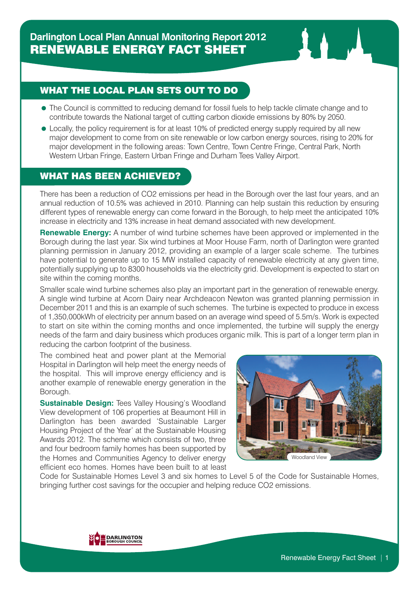## WHAT THE LOCAL PLAN SETS OUT TO DO

- The Council is committed to reducing demand for fossil fuels to help tackle climate change and to contribute towards the National target of cutting carbon dioxide emissions by 80% by 2050.
- Locally, the policy requirement is for at least 10% of predicted energy supply required by all new major development to come from on site renewable or low carbon energy sources, rising to 20% for major development in the following areas: Town Centre, Town Centre Fringe, Central Park, North Western Urban Fringe, Eastern Urban Fringe and Durham Tees Valley Airport.

## WHAT HAS BEEN ACHIEVED?

There has been a reduction of CO2 emissions per head in the Borough over the last four years, and an annual reduction of 10.5% was achieved in 2010. Planning can help sustain this reduction by ensuring different types of renewable energy can come forward in the Borough, to help meet the anticipated 10% increase in electricity and 13% increase in heat demand associated with new development.

**Renewable Energy:** A number of wind turbine schemes have been approved or implemented in the Borough during the last year. Six wind turbines at Moor House Farm, north of Darlington were granted planning permission in January 2012, providing an example of a larger scale scheme. The turbines have potential to generate up to 15 MW installed capacity of renewable electricity at any given time, potentially supplying up to 8300 households via the electricity grid. Development is expected to start on site within the coming months.

Smaller scale wind turbine schemes also play an important part in the generation of renewable energy. A single wind turbine at Acorn Dairy near Archdeacon Newton was granted planning permission in December 2011 and this is an example of such schemes. The turbine is expected to produce in excess of 1,350,000kWh of electricity per annum based on an average wind speed of 5.5m/s. Work is expected to start on site within the coming months and once implemented, the turbine will supply the energy needs of the farm and dairy business which produces organic milk. This is part of a longer term plan in reducing the carbon footprint of the business.

The combined heat and power plant at the Memorial Hospital in Darlington will help meet the energy needs of the hospital. This will improve energy efficiency and is another example of renewable energy generation in the Borough.

**Sustainable Design: Tees Valley Housing's Woodland** View development of 106 properties at Beaumont Hill in Darlington has been awarded 'Sustainable Larger Housing Project of the Year' at the Sustainable Housing Awards 2012. The scheme which consists of two, three and four bedroom family homes has been supported by the Homes and Communities Agency to deliver energy efficient eco homes. Homes have been built to at least



Code for Sustainable Homes Level 3 and six homes to Level 5 of the Code for Sustainable Homes, bringing further cost savings for the occupier and helping reduce CO2 emissions.